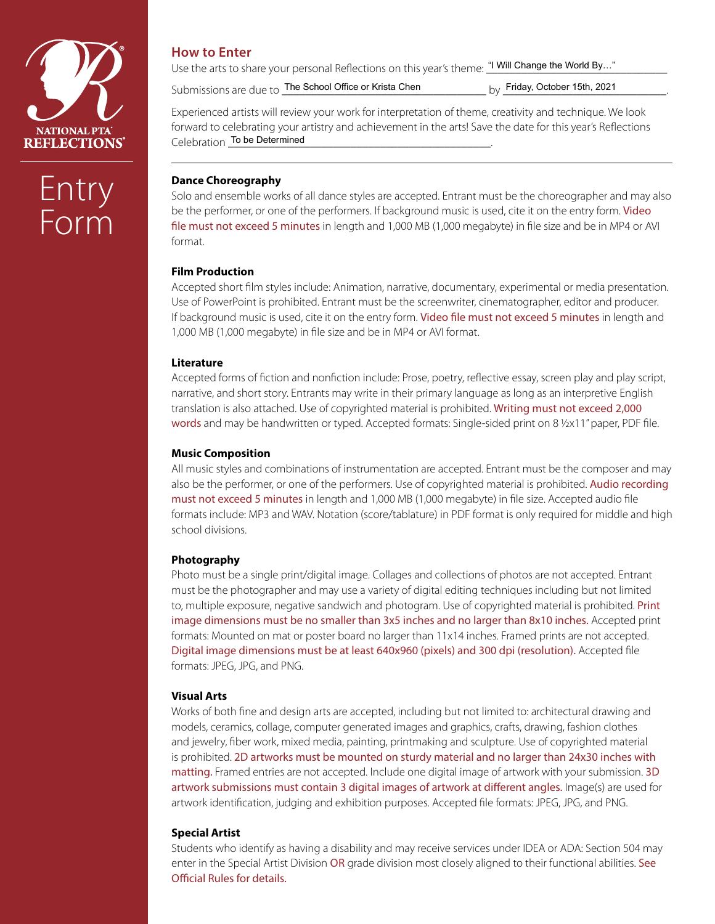

# Entry Form

# **How to Enter**

Use the arts to share your personal Reflections on this year's theme: "I Will Change the World By..."

Submissions are due to The School Office or Krista Chen Theodore Boy Friday, October 15th, 2021

Experienced artists will review your work for interpretation of theme, creativity and technique. We look forward to celebrating your artistry and achievement in the arts! Save the date for this year's Reflections Celebration To be Determined The Content of the Determined Celebration To be Determined

## **Dance Choreography**

Solo and ensemble works of all dance styles are accepted. Entrant must be the choreographer and may also be the performer, or one of the performers. If background music is used, cite it on the entry form. Video file must not exceed 5 minutes in length and 1,000 MB (1,000 megabyte) in file size and be in MP4 or AVI format.

### **Film Production**

Accepted short film styles include: Animation, narrative, documentary, experimental or media presentation. Use of PowerPoint is prohibited. Entrant must be the screenwriter, cinematographer, editor and producer. If background music is used, cite it on the entry form. Video file must not exceed 5 minutes in length and 1,000 MB (1,000 megabyte) in file size and be in MP4 or AVI format.

#### **Literature**

Accepted forms of fiction and nonfiction include: Prose, poetry, reflective essay, screen play and play script, narrative, and short story. Entrants may write in their primary language as long as an interpretive English translation is also attached. Use of copyrighted material is prohibited. Writing must not exceed 2,000 words and may be handwritten or typed. Accepted formats: Single-sided print on 8 1/2x11" paper, PDF file.

#### **Music Composition**

All music styles and combinations of instrumentation are accepted. Entrant must be the composer and may also be the performer, or one of the performers. Use of copyrighted material is prohibited. Audio recording must not exceed 5 minutes in length and 1,000 MB (1,000 megabyte) in file size. Accepted audio file formats include: MP3 and WAV. Notation (score/tablature) in PDF format is only required for middle and high school divisions.

#### **Photography**

Photo must be a single print/digital image. Collages and collections of photos are not accepted. Entrant must be the photographer and may use a variety of digital editing techniques including but not limited to, multiple exposure, negative sandwich and photogram. Use of copyrighted material is prohibited. Print image dimensions must be no smaller than 3x5 inches and no larger than 8x10 inches. Accepted print formats: Mounted on mat or poster board no larger than 11x14 inches. Framed prints are not accepted. Digital image dimensions must be at least 640x960 (pixels) and 300 dpi (resolution). Accepted file formats: JPEG, JPG, and PNG.

#### **Visual Arts**

Works of both fine and design arts are accepted, including but not limited to: architectural drawing and models, ceramics, collage, computer generated images and graphics, crafts, drawing, fashion clothes and jewelry, fiber work, mixed media, painting, printmaking and sculpture. Use of copyrighted material is prohibited. 2D artworks must be mounted on sturdy material and no larger than 24x30 inches with matting. Framed entries are not accepted. Include one digital image of artwork with your submission. 3D artwork submissions must contain 3 digital images of artwork at different angles. Image(s) are used for artwork identification, judging and exhibition purposes. Accepted file formats: JPEG, JPG, and PNG.

#### **Special Artist**

Students who identify as having a disability and may receive services under IDEA or ADA: Section 504 may enter in the Special Artist Division OR grade division most closely aligned to their functional abilities. See Official Rules for details.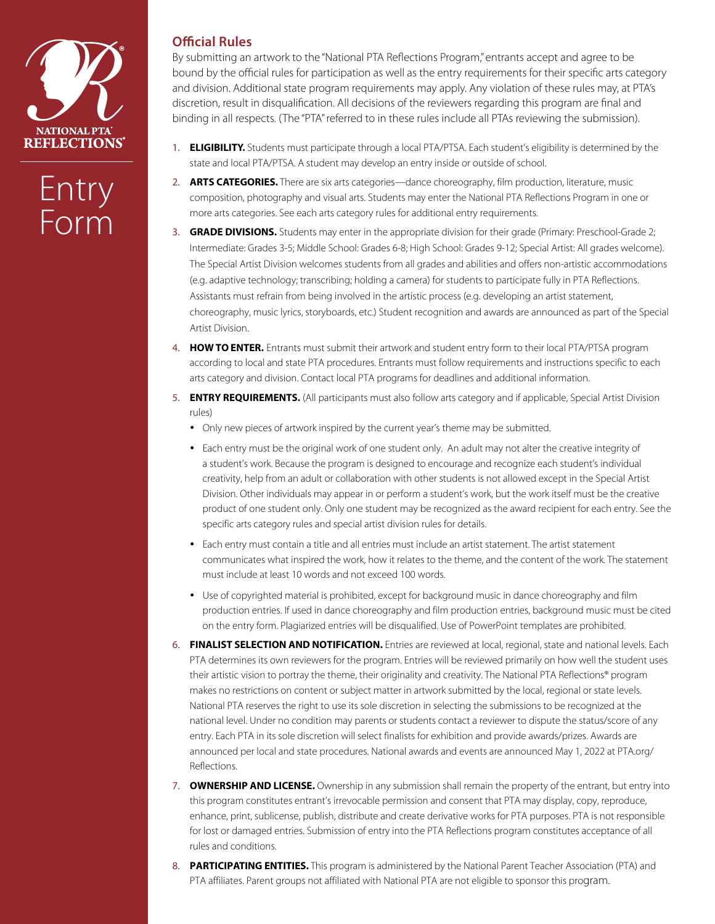

# Entry Form

# **O!cial Rules**

By submitting an artwork to the "National PTA Reflections Program," entrants accept and agree to be bound by the official rules for participation as well as the entry requirements for their specific arts category and division. Additional state program requirements may apply. Any violation of these rules may, at PTA's discretion, result in disqualification. All decisions of the reviewers regarding this program are final and binding in all respects. (The "PTA" referred to in these rules include all PTAs reviewing the submission).

- **ELIGIBILITY.** Students must participate through a local PTA/PTSA. Each student's eligibility is determined by the state and local PTA/PTSA. A student may develop an entry inside or outside of school.
- 2. **ARTS CATEGORIES.** There are six arts categories—dance choreography, film production, literature, music composition, photography and visual arts. Students may enter the National PTA Reflections Program in one or more arts categories. See each arts category rules for additional entry requirements.
- **GRADE DIVISIONS.** Students may enter in the appropriate division for their grade (Primary: Preschool-Grade 2; Intermediate: Grades 3-5; Middle School: Grades 6-8; High School: Grades 9-12; Special Artist: All grades welcome). The Special Artist Division welcomes students from all grades and abilities and offers non-artistic accommodations (e.g. adaptive technology; transcribing; holding a camera) for students to participate fully in PTA Reflections. Assistants must refrain from being involved in the artistic process (e.g. developing an artist statement, choreography, music lyrics, storyboards, etc.) Student recognition and awards are announced as part of the Special Artist Division.
- **HOW TO ENTER.** Entrants must submit their artwork and student entry form to their local PTA/PTSA program according to local and state PTA procedures. Entrants must follow requirements and instructions specific to each arts category and division. Contact local PTA programs for deadlines and additional information.
- **ENTRY REQUIREMENTS.** (All participants must also follow arts category and if applicable, Special Artist Division rules)
	- Only new pieces of artwork inspired by the current year's theme may be submitted.
	- Each entry must be the original work of one student only. An adult may not alter the creative integrity of a student's work. Because the program is designed to encourage and recognize each student's individual creativity, help from an adult or collaboration with other students is not allowed except in the Special Artist Division. Other individuals may appear in or perform a student's work, but the work itself must be the creative product of one student only. Only one student may be recognized as the award recipient for each entry. See the specific arts category rules and special artist division rules for details.
	- Each entry must contain a title and all entries must include an artist statement. The artist statement communicates what inspired the work, how it relates to the theme, and the content of the work. The statement must include at least 10 words and not exceed 100 words.
	- Use of copyrighted material is prohibited, except for background music in dance choreography and film production entries. If used in dance choreography and film production entries, background music must be cited on the entry form. Plagiarized entries will be disqualified. Use of PowerPoint templates are prohibited.
- **FINALIST SELECTION AND NOTIFICATION.** Entries are reviewed at local, regional, state and national levels. Each PTA determines its own reviewers for the program. Entries will be reviewed primarily on how well the student uses their artistic vision to portray the theme, their originality and creativity. The National PTA Reflections® program makes no restrictions on content or subject matter in artwork submitted by the local, regional or state levels. National PTA reserves the right to use its sole discretion in selecting the submissions to be recognized at the national level. Under no condition may parents or students contact a reviewer to dispute the status/score of any entry. Each PTA in its sole discretion will select finalists for exhibition and provide awards/prizes. Awards are announced per local and state procedures. National awards and events are announced May 1, 2022 at PTA.org/ Reflections.
- **OWNERSHIP AND LICENSE.** Ownership in any submission shall remain the property of the entrant, but entry into this program constitutes entrant's irrevocable permission and consent that PTA may display, copy, reproduce, enhance, print, sublicense, publish, distribute and create derivative works for PTA purposes. PTA is not responsible for lost or damaged entries. Submission of entry into the PTA Reflections program constitutes acceptance of all rules and conditions.
- **PARTICIPATING ENTITIES.** This program is administered by the National Parent Teacher Association (PTA) and PTA affiliates. Parent groups not affiliated with National PTA are not eligible to sponsor this program.